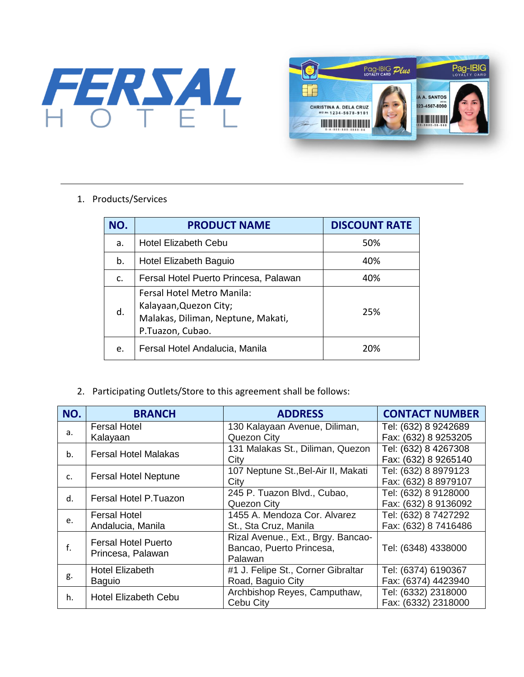



## 1. Products/Services

| NO. | <b>PRODUCT NAME</b>                                                                                            | <b>DISCOUNT RATE</b> |  |
|-----|----------------------------------------------------------------------------------------------------------------|----------------------|--|
| a.  | <b>Hotel Elizabeth Cebu</b><br>50%                                                                             |                      |  |
| b.  | Hotel Elizabeth Baguio                                                                                         | 40%                  |  |
| C.  | Fersal Hotel Puerto Princesa, Palawan                                                                          | 40%                  |  |
| d.  | Fersal Hotel Metro Manila:<br>Kalayaan, Quezon City;<br>Malakas, Diliman, Neptune, Makati,<br>P.Tuazon, Cubao. | 25%                  |  |
| e.  | Fersal Hotel Andalucia, Manila                                                                                 | 20%                  |  |

## 2. Participating Outlets/Store to this agreement shall be follows:

| NO. | <b>BRANCH</b>                                   | <b>ADDRESS</b>                      | <b>CONTACT NUMBER</b> |
|-----|-------------------------------------------------|-------------------------------------|-----------------------|
| a.  | <b>Fersal Hotel</b>                             | 130 Kalayaan Avenue, Diliman,       | Tel: (632) 8 9242689  |
|     | Kalayaan                                        | Quezon City                         | Fax: (632) 8 9253205  |
| b.  | <b>Fersal Hotel Malakas</b>                     | 131 Malakas St., Diliman, Quezon    | Tel: (632) 8 4267308  |
|     |                                                 | City                                | Fax: (632) 8 9265140  |
| C.  | <b>Fersal Hotel Neptune</b>                     | 107 Neptune St., Bel-Air II, Makati | Tel: (632) 8 8979123  |
|     |                                                 | City                                | Fax: (632) 8 8979107  |
| d.  | Fersal Hotel P.Tuazon                           | 245 P. Tuazon Blvd., Cubao,         | Tel: (632) 8 9128000  |
|     |                                                 | Quezon City                         | Fax: (632) 8 9136092  |
| e.  | Fersal Hotel                                    | 1455 A. Mendoza Cor. Alvarez        | Tel: (632) 8 7427292  |
|     | Andalucia, Manila                               | St., Sta Cruz, Manila               | Fax: (632) 8 7416486  |
| f.  | <b>Fersal Hotel Puerto</b><br>Princesa, Palawan | Rizal Avenue., Ext., Brgy. Bancao-  |                       |
|     |                                                 | Bancao, Puerto Princesa,            | Tel: (6348) 4338000   |
|     |                                                 | Palawan                             |                       |
| g.  | Hotel Elizabeth                                 | #1 J. Felipe St., Corner Gibraltar  | Tel: (6374) 6190367   |
|     | <b>Baguio</b>                                   | Road, Baguio City                   | Fax: (6374) 4423940   |
| h.  | <b>Hotel Elizabeth Cebu</b>                     | Archbishop Reyes, Camputhaw,        | Tel: (6332) 2318000   |
|     |                                                 | Cebu City                           | Fax: (6332) 2318000   |